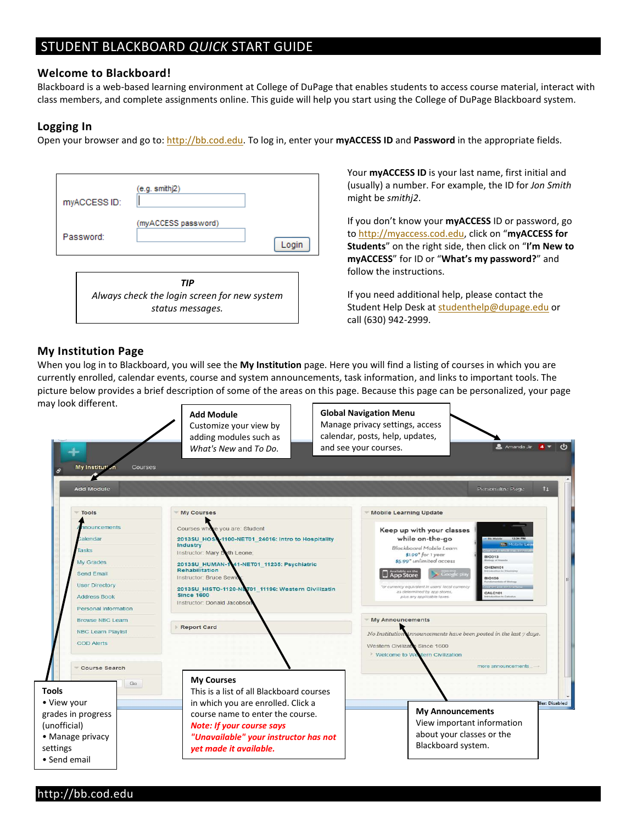# STUDENT BLACKBOARD *QUICK* START GUIDE

#### **Welcome to Blackboard!**

Blackboard is a web-based learning environment at College of DuPage that enables students to access course material, interact with class members, and complete assignments online. This guide will help you start using the College of DuPage Blackboard system.

#### **Logging In**

Open your browser and go to[: http://bb.cod.edu.](http://bb.cod.edu/) To log in, enter your **myACCESS ID** and **Password** in the appropriate fields.

| myACCESS ID:                                        | (e.g. smithj2)                |
|-----------------------------------------------------|-------------------------------|
| Password:                                           | (myACCESS password)<br>L ogir |
| TIP<br>Always check the login screen for new system |                               |

*status messages.*

Your **myACCESS ID** is your last name, first initial and (usually) a number. For example, the ID for *Jon Smith* might be *smithj2*.

If you don't know your **myACCESS** ID or password, go t[o http://myaccess.cod.edu,](http://myaccess.cod.edu/) click on "**myACCESS for Students**" on the right side, then click on "**I'm New to myACCESS**" for ID or "**What's my password?**" and follow the instructions.

If you need additional help, please contact the Student Help Desk a[t studenthelp@dupage.edu](mailto:studenthelp@dupage.edu) or call (630) 942-2999.

#### **My Institution Page**

When you log in to Blackboard, you will see the **My Institution** page. Here you will find a listing of courses in which you are currently enrolled, calendar events, course and system announcements, task information, and links to important tools. The picture below provides a brief description of some of the areas on this page. Because this page can be personalized, your page may look different.